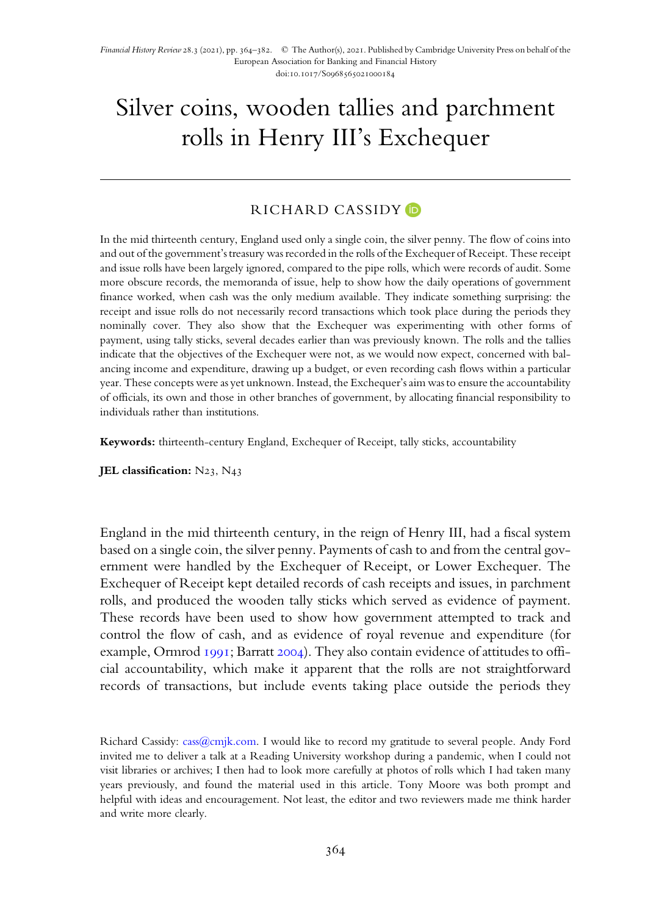# Silver coins, wooden tallies and parchment rolls in Henry III' s Exchequer

# RICHARD CASSIDY D

In the mid thirteenth century, England used only a single coin, the silver penny. The flow of coins into and out of the government's treasury was recorded in the rolls of the Exchequer of Receipt. These receipt and issue rolls have been largely ignored, compared to the pipe rolls, which were records of audit. Some more obscure records, the memoranda of issue, help to show how the daily operations of government finance worked, when cash was the only medium available. They indicate something surprising: the receipt and issue rolls do not necessarily record transactions which took place during the periods they nominally cover. They also show that the Exchequer was experimenting with other forms of payment, using tally sticks, several decades earlier than was previously known. The rolls and the tallies indicate that the objectives of the Exchequer were not, as we would now expect, concerned with balancing income and expenditure, drawing up a budget, or even recording cash flows within a particular year. These concepts were as yet unknown. Instead, the Exchequer's aim was to ensure the accountability of officials, its own and those in other branches of government, by allocating financial responsibility to individuals rather than institutions.

Keywords: thirteenth-century England, Exchequer of Receipt, tally sticks, accountability

JEL classification:  $N_{23}$ ,  $N_{43}$ 

England in the mid thirteenth century, in the reign of Henry III, had a fiscal system based on a single coin, the silver penny. Payments of cash to and from the central government were handled by the Exchequer of Receipt, or Lower Exchequer. The Exchequer of Receipt kept detailed records of cash receipts and issues, in parchment rolls, and produced the wooden tally sticks which served as evidence of payment. These records have been used to show how government attempted to track and control the flow of cash, and as evidence of royal revenue and expenditure (for example, Ormrod  $1991$ ; Barratt 2004). They also contain evidence of attitudes to official accountability, which make it apparent that the rolls are not straightforward records of transactions, but include events taking place outside the periods they

Richard Cassidy: [cass@cmjk.com.](mailto:cass@cmjk.com) I would like to record my gratitude to several people. Andy Ford invited me to deliver a talk at a Reading University workshop during a pandemic, when I could not visit libraries or archives; I then had to look more carefully at photos of rolls which I had taken many years previously, and found the material used in this article. Tony Moore was both prompt and helpful with ideas and encouragement. Not least, the editor and two reviewers made me think harder and write more clearly.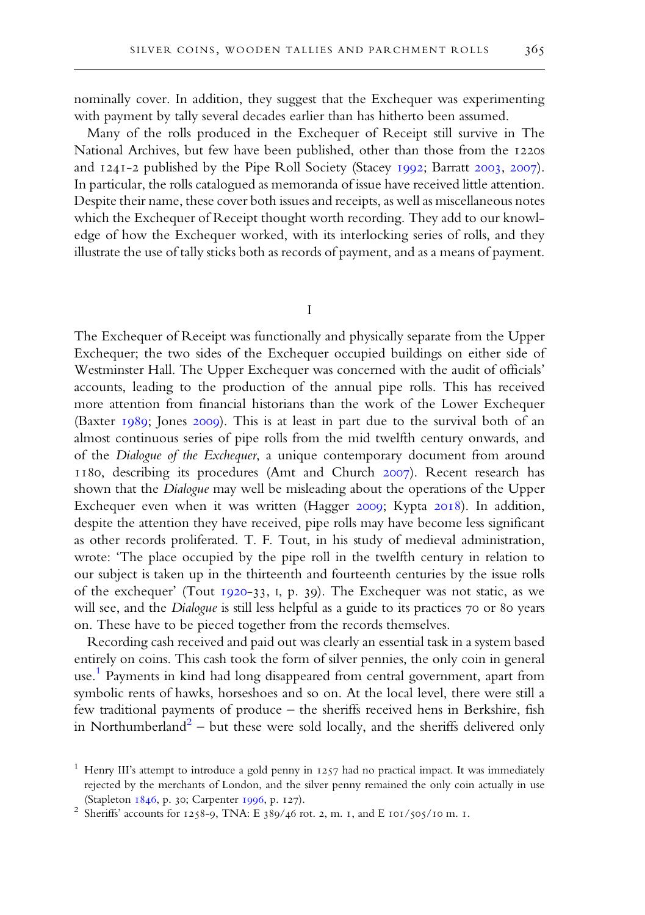nominally cover. In addition, they suggest that the Exchequer was experimenting with payment by tally several decades earlier than has hitherto been assumed.

Many of the rolls produced in the Exchequer of Receipt still survive in The National Archives, but few have been published, other than those from the 1220s and 1241-2 published by the Pipe Roll Society (Stacey 1992; Barratt 2003, 2007). In particular, the rolls catalogued as memoranda of issue have received little attention. Despite their name, these cover both issues and receipts, as well as miscellaneous notes which the Exchequer of Receipt thought worth recording. They add to our knowledge of how the Exchequer worked, with its interlocking series of rolls, and they illustrate the use of tally sticks both as records of payment, and as a means of payment.

I

The Exchequer of Receipt was functionally and physically separate from the Upper Exchequer; the two sides of the Exchequer occupied buildings on either side of Westminster Hall. The Upper Exchequer was concerned with the audit of officials' accounts, leading to the production of the annual pipe rolls. This has received more attention from financial historians than the work of the Lower Exchequer (Baxter  $1989$ ; Jones 2009). This is at least in part due to the survival both of an almost continuous series of pipe rolls from the mid twelfth century onwards, and of the Dialogue of the Exchequer, a unique contemporary document from around 1180, describing its procedures (Amt and Church 2007). Recent research has shown that the Dialogue may well be misleading about the operations of the Upper Exchequer even when it was written (Hagger 2009; Kypta 2018). In addition, despite the attention they have received, pipe rolls may have become less significant as other records proliferated. T. F. Tout, in his study of medieval administration, wrote: 'The place occupied by the pipe roll in the twelfth century in relation to our subject is taken up in the thirteenth and fourteenth centuries by the issue rolls of the exchequer' (Tout 1920-33, I, p. 39). The Exchequer was not static, as we will see, and the Dialogue is still less helpful as a guide to its practices 70 or 80 years on. These have to be pieced together from the records themselves.

Recording cash received and paid out was clearly an essential task in a system based entirely on coins. This cash took the form of silver pennies, the only coin in general use. 1 Payments in kind had long disappeared from central government, apart from symbolic rents of hawks, horseshoes and so on. At the local level, there were still a few traditional payments of produce – the sheriffs received hens in Berkshire, fish in Northumberland<sup>2</sup> – but these were sold locally, and the sheriffs delivered only

<sup>&</sup>lt;sup>1</sup> Henry III's attempt to introduce a gold penny in  $1257$  had no practical impact. It was immediately rejected by the merchants of London, and the silver penny remained the only coin actually in use (Stapleton 1846, p. 30; Carpenter 1996, p. 127).

<sup>&</sup>lt;sup>2</sup> Sheriffs' accounts for 1258-9, TNA: E 389/46 rot. 2, m. 1, and E 101/505/10 m. 1.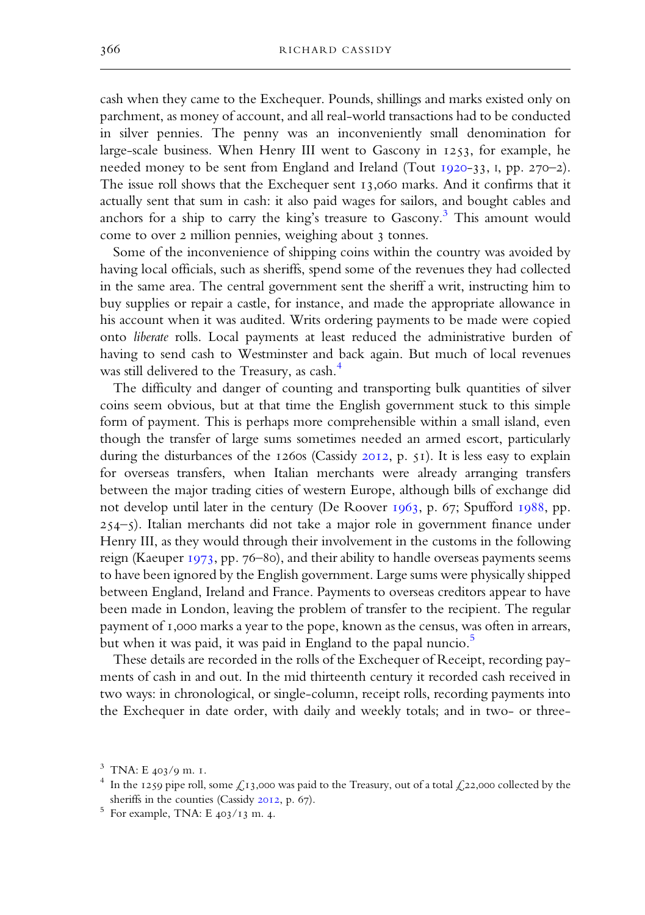cash when they came to the Exchequer. Pounds, shillings and marks existed only on parchment, as money of account, and all real-world transactions had to be conducted in silver pennies. The penny was an inconveniently small denomination for large-scale business. When Henry III went to Gascony in 1253, for example, he needed money to be sent from England and Ireland (Tout 1920-33, I, pp. 270-2). The issue roll shows that the Exchequer sent  $13,060$  marks. And it confirms that it actually sent that sum in cash: it also paid wages for sailors, and bought cables and anchors for a ship to carry the king's treasure to Gascony. <sup>3</sup> This amount would come to over 2 million pennies, weighing about 3 tonnes.

Some of the inconvenience of shipping coins within the country was avoided by having local officials, such as sheriffs, spend some of the revenues they had collected in the same area. The central government sent the sheriff a writ, instructing him to buy supplies or repair a castle, for instance, and made the appropriate allowance in his account when it was audited. Writs ordering payments to be made were copied onto liberate rolls. Local payments at least reduced the administrative burden of having to send cash to Westminster and back again. But much of local revenues was still delivered to the Treasury, as cash. 4

The difficulty and danger of counting and transporting bulk quantities of silver coins seem obvious, but at that time the English government stuck to this simple form of payment. This is perhaps more comprehensible within a small island, even though the transfer of large sums sometimes needed an armed escort, particularly during the disturbances of the  $1260s$  (Cassidy 2012, p. 51). It is less easy to explain for overseas transfers, when Italian merchants were already arranging transfers between the major trading cities of western Europe, although bills of exchange did not develop until later in the century (De Roover  $1963$ , p. 67; Spufford  $1988$ , pp. –). Italian merchants did not take a major role in government finance under Henry III, as they would through their involvement in the customs in the following reign (Kaeuper  $1973$ , pp. 76–80), and their ability to handle overseas payments seems to have been ignored by the English government. Large sums were physically shipped between England, Ireland and France. Payments to overseas creditors appear to have been made in London, leaving the problem of transfer to the recipient. The regular payment of 1,000 marks a year to the pope, known as the census, was often in arrears, but when it was paid, it was paid in England to the papal nuncio. 5

These details are recorded in the rolls of the Exchequer of Receipt, recording payments of cash in and out. In the mid thirteenth century it recorded cash received in two ways: in chronological, or single-column, receipt rolls, recording payments into the Exchequer in date order, with daily and weekly totals; and in two- or three-

 $3$  TNA: E  $403/9$  m. I.

<sup>&</sup>lt;sup>4</sup> In the 1259 pipe roll, some £13,000 was paid to the Treasury, out of a total £22,000 collected by the sheriffs in the counties (Cassidy  $2012$ , p. 67).

 $5$  For example, TNA: E 403/13 m. 4.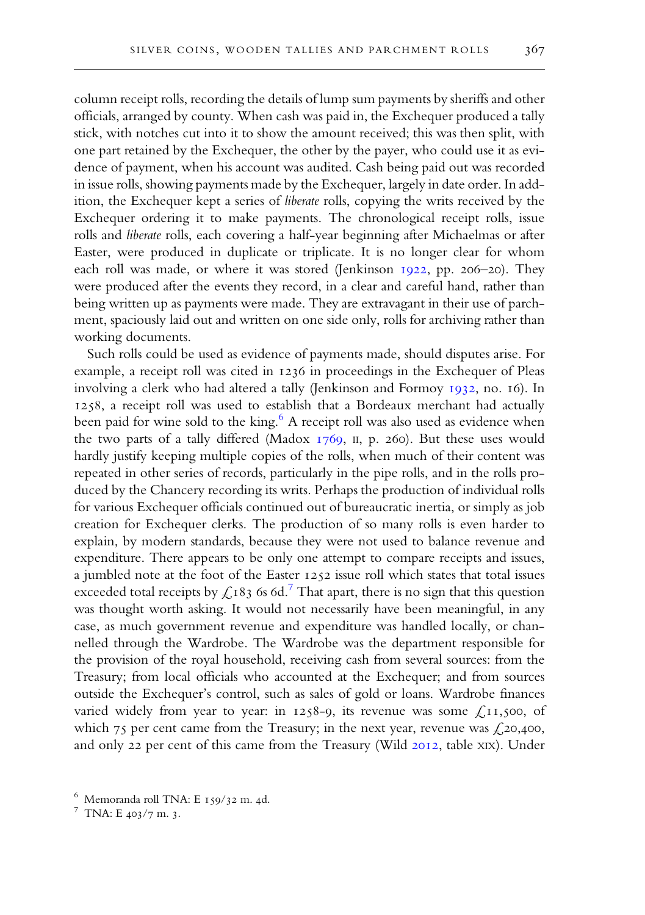column receipt rolls, recording the details of lump sum payments by sheriffs and other officials, arranged by county. When cash was paid in, the Exchequer produced a tally stick, with notches cut into it to show the amount received; this was then split, with one part retained by the Exchequer, the other by the payer, who could use it as evidence of payment, when his account was audited. Cash being paid out was recorded in issue rolls, showing payments made by the Exchequer, largely in date order. In addition, the Exchequer kept a series of liberate rolls, copying the writs received by the Exchequer ordering it to make payments. The chronological receipt rolls, issue rolls and liberate rolls, each covering a half-year beginning after Michaelmas or after Easter, were produced in duplicate or triplicate. It is no longer clear for whom each roll was made, or where it was stored (Jenkinson 1922, pp. 206-20). They were produced after the events they record, in a clear and careful hand, rather than being written up as payments were made. They are extravagant in their use of parchment, spaciously laid out and written on one side only, rolls for archiving rather than

Such rolls could be used as evidence of payments made, should disputes arise. For example, a receipt roll was cited in 1236 in proceedings in the Exchequer of Pleas involving a clerk who had altered a tally (Jenkinson and Formoy 1932, no. 16). In 1258, a receipt roll was used to establish that a Bordeaux merchant had actually been paid for wine sold to the king. <sup>6</sup> A receipt roll was also used as evidence when the two parts of a tally differed (Madox  $1769$ , II, p. 260). But these uses would hardly justify keeping multiple copies of the rolls, when much of their content was repeated in other series of records, particularly in the pipe rolls, and in the rolls produced by the Chancery recording its writs. Perhaps the production of individual rolls for various Exchequer officials continued out of bureaucratic inertia, or simply as job creation for Exchequer clerks. The production of so many rolls is even harder to explain, by modern standards, because they were not used to balance revenue and expenditure. There appears to be only one attempt to compare receipts and issues, a jumbled note at the foot of the Easter 1252 issue roll which states that total issues exceeded total receipts by  $\mathcal{L}$ 183 6s 6d.<sup>7</sup> That apart, there is no sign that this question was thought worth asking. It would not necessarily have been meaningful, in any case, as much government revenue and expenditure was handled locally, or channelled through the Wardrobe. The Wardrobe was the department responsible for the provision of the royal household, receiving cash from several sources: from the Treasury; from local officials who accounted at the Exchequer; and from sources outside the Exchequer's control, such as sales of gold or loans. Wardrobe finances varied widely from year to year: in  $1258-9$ , its revenue was some £11,500, of which  $75$  per cent came from the Treasury; in the next year, revenue was  $\zeta$ , 20,400, and only 22 per cent of this came from the Treasury (Wild 2012, table XIX). Under

working documents.

 $6$  Memoranda roll TNA: E 159/32 m. 4d.

 $7$  TNA: E  $403/7$  m. 3.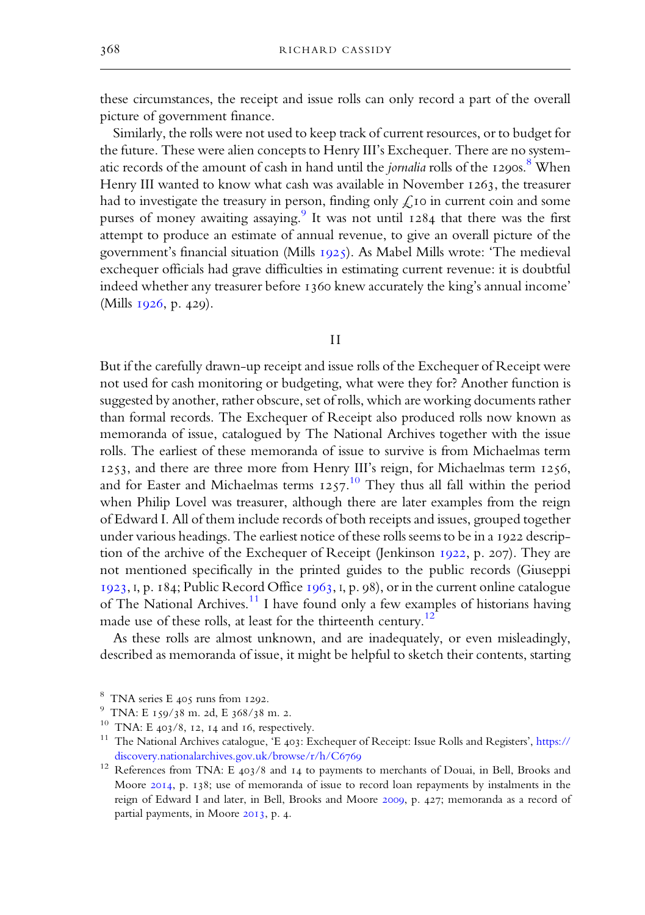these circumstances, the receipt and issue rolls can only record a part of the overall picture of government finance.

Similarly, the rolls were not used to keep track of current resources, or to budget for the future. These were alien concepts to Henry III's Exchequer. There are no systematic records of the amount of cash in hand until the *jornalia* rolls of the  $1290s$ .<sup>8</sup> When Henry III wanted to know what cash was available in November  $1263$ , the treasurer had to investigate the treasury in person, finding only  $\mathcal{L}$  to in current coin and some purses of money awaiting assaying.<sup>9</sup> It was not until 1284 that there was the first attempt to produce an estimate of annual revenue, to give an overall picture of the government's financial situation (Mills 1925). As Mabel Mills wrote: 'The medieval exchequer officials had grave difficulties in estimating current revenue: it is doubtful indeed whether any treasurer before 1360 knew accurately the king's annual income' (Mills  $1926$ , p. 429).

#### II

But if the carefully drawn-up receipt and issue rolls of the Exchequer of Receipt were not used for cash monitoring or budgeting, what were they for? Another function is suggested by another, rather obscure, set of rolls, which are working documents rather than formal records. The Exchequer of Receipt also produced rolls now known as memoranda of issue, catalogued by The National Archives together with the issue rolls. The earliest of these memoranda of issue to survive is from Michaelmas term 1253, and there are three more from Henry III's reign, for Michaelmas term 1256, and for Easter and Michaelmas terms  $1257$ .<sup>10</sup> They thus all fall within the period when Philip Lovel was treasurer, although there are later examples from the reign of Edward I. All of them include records of both receipts and issues, grouped together under various headings. The earliest notice of these rolls seems to be in a 1922 description of the archive of the Exchequer of Receipt (Jenkinson  $1922$ , p. 207). They are not mentioned specifically in the printed guides to the public records (Giuseppi  $1923$ , I, p.  $184$ ; Public Record Office  $1963$ , I, p. 98), or in the current online catalogue of The National Archives.<sup>11</sup> I have found only a few examples of historians having made use of these rolls, at least for the thirteenth century.<sup>12</sup>

As these rolls are almost unknown, and are inadequately, or even misleadingly, described as memoranda of issue, it might be helpful to sketch their contents, starting

 $8$  TNA series E  $405$  runs from 1292.

 $^{9}$  TNA: E 159/38 m. 2d, E 368/38 m. 2.

<sup>&</sup>lt;sup>10</sup> TNA: E  $403/8$ , 12, 14 and 16, respectively.

<sup>&</sup>lt;sup>11</sup> The National Archives catalogue, 'E 403: Exchequer of Receipt: Issue Rolls and Registers', [https://](https://discovery.nationalarchives.gov.uk/browse/r/h/C6769) [discovery.nationalarchives.gov.uk/browse/r/h/C](https://discovery.nationalarchives.gov.uk/browse/r/h/C6769)

 $12$  References from TNA: E 403/8 and 14 to payments to merchants of Douai, in Bell, Brooks and Moore  $2014$ , p. 138; use of memoranda of issue to record loan repayments by instalments in the reign of Edward I and later, in Bell, Brooks and Moore 2009, p. 427; memoranda as a record of partial payments, in Moore 2013, p. 4.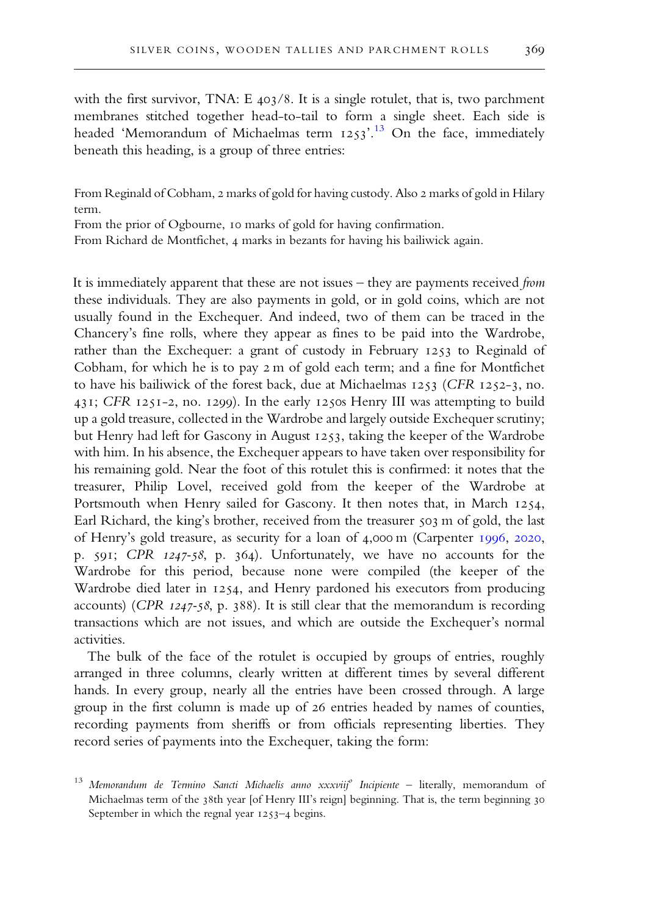with the first survivor, TNA:  $E$  403/8. It is a single rotulet, that is, two parchment membranes stitched together head-to-tail to form a single sheet. Each side is headed 'Memorandum of Michaelmas term  $1253$ '.<sup>13</sup> On the face, immediately beneath this heading, is a group of three entries:

From Reginald of Cobham, 2 marks of gold for having custody. Also 2 marks of gold in Hilary term.

From the prior of Ogbourne, 10 marks of gold for having confirmation.

From Richard de Montfichet, 4 marks in bezants for having his bailiwick again.

It is immediately apparent that these are not issues – they are payments received from these individuals. They are also payments in gold, or in gold coins, which are not usually found in the Exchequer. And indeed, two of them can be traced in the Chancery's fine rolls, where they appear as fines to be paid into the Wardrobe, rather than the Exchequer: a grant of custody in February 1253 to Reginald of Cobham, for which he is to pay 2 m of gold each term; and a fine for Montfichet to have his bailiwick of the forest back, due at Michaelmas 1253 (CFR 1252-3, no. 431; CFR 1251-2, no. 1299). In the early 1250s Henry III was attempting to build up a gold treasure, collected in the Wardrobe and largely outside Exchequer scrutiny; but Henry had left for Gascony in August 1253, taking the keeper of the Wardrobe with him. In his absence, the Exchequer appears to have taken over responsibility for his remaining gold. Near the foot of this rotulet this is confirmed: it notes that the treasurer, Philip Lovel, received gold from the keeper of the Wardrobe at Portsmouth when Henry sailed for Gascony. It then notes that, in March 1254, Earl Richard, the king's brother, received from the treasurer 503 m of gold, the last of Henry's gold treasure, as security for a loan of 4,000 m (Carpenter 1996, 2020, p.  $591$ ; CPR  $1247-58$ , p. 364). Unfortunately, we have no accounts for the Wardrobe for this period, because none were compiled (the keeper of the Wardrobe died later in 1254, and Henry pardoned his executors from producing accounts) (CPR  $1247-58$ , p. 388). It is still clear that the memorandum is recording transactions which are not issues, and which are outside the Exchequer's normal activities.

The bulk of the face of the rotulet is occupied by groups of entries, roughly arranged in three columns, clearly written at different times by several different hands. In every group, nearly all the entries have been crossed through. A large group in the first column is made up of 26 entries headed by names of counties, recording payments from sheriffs or from officials representing liberties. They record series of payments into the Exchequer, taking the form:

<sup>&</sup>lt;sup>13</sup> Memorandum de Termino Sancti Michaelis anno xxxviij<sup>o</sup> Incipiente - literally, memorandum of Michaelmas term of the 38th year [of Henry III's reign] beginning. That is, the term beginning 30 September in which the regnal year  $1253-4$  begins.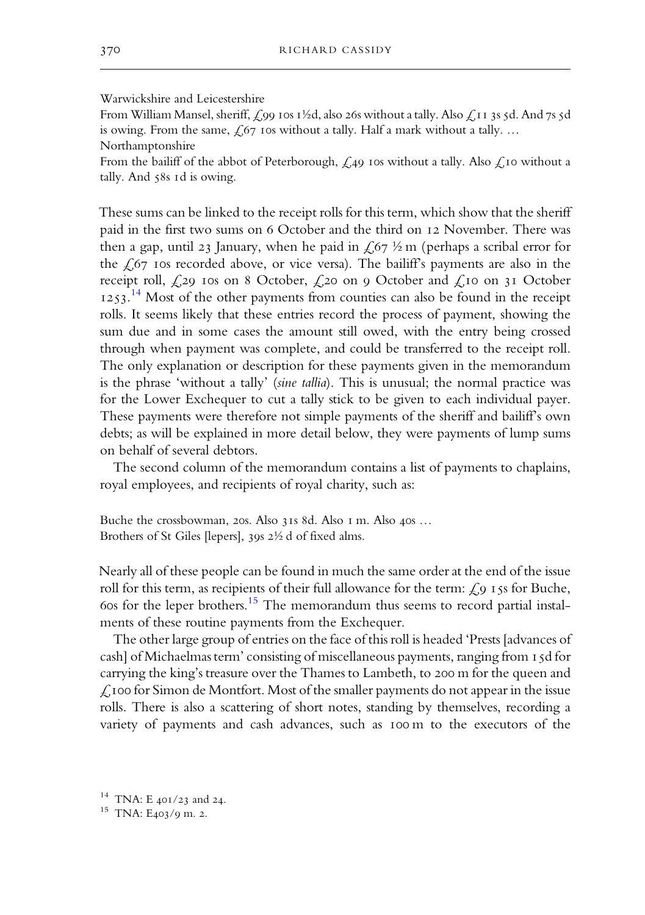# Warwickshire and Leicestershire

From William Mansel, sheriff,  $\zeta$ 99 10s 1½d, also 26s without a tally. Also  $\zeta$ 11 3s 5d. And 7s 5d is owing. From the same,  $f_0$  ros without a tally. Half a mark without a tally. ... Northamptonshire

From the bailiff of the abbot of Peterborough,  $\mathcal{L}_{49}$  ros without a tally. Also  $\mathcal{L}_{10}$  without a tally. And 58s 1d is owing.

These sums can be linked to the receipt rolls for this term, which show that the sheriff paid in the first two sums on 6 October and the third on 12 November. There was then a gap, until 23 January, when he paid in  $\frac{2}{7}$  % m (perhaps a scribal error for the  $\epsilon$  s recorded above, or vice versa). The bailiff's payments are also in the receipt roll,  $\zeta_{29}$  ros on 8 October,  $\zeta_{20}$  on 9 October and  $\zeta_{10}$  on 31 October 1253.<sup>14</sup> Most of the other payments from counties can also be found in the receipt rolls. It seems likely that these entries record the process of payment, showing the sum due and in some cases the amount still owed, with the entry being crossed through when payment was complete, and could be transferred to the receipt roll. The only explanation or description for these payments given in the memorandum is the phrase 'without a tally' (sine tallia). This is unusual; the normal practice was for the Lower Exchequer to cut a tally stick to be given to each individual payer. These payments were therefore not simple payments of the sheriff and bailiff's own debts; as will be explained in more detail below, they were payments of lump sums on behalf of several debtors.

The second column of the memorandum contains a list of payments to chaplains, royal employees, and recipients of royal charity, such as:

Buche the crossbowman, 20s. Also 31s 8d. Also I m. Also 40s ... Brothers of St Giles [lepers], 39s  $2\frac{1}{2}$  d of fixed alms.

Nearly all of these people can be found in much the same orderat the end of the issue roll for this term, as recipients of their full allowance for the term:  $\zeta$ ,  $\zeta$  is for Buche, 60s for the leper brothers.<sup>15</sup> The memorandum thus seems to record partial instalments of these routine payments from the Exchequer.

The other large group of entries on the face of this roll is headed 'Prests [advances of cash] of Michaelmas term' consisting of miscellaneous payments, ranging from 15d for carrying the king's treasure over the Thames to Lambeth, to 200 m for the queen and  $\mathcal{L}$ , 100 for Simon de Montfort. Most of the smaller payments do not appear in the issue rolls. There is also a scattering of short notes, standing by themselves, recording a variety of payments and cash advances, such as 100 m to the executors of the

 $14$  TNA: E 401/23 and 24.

<sup>&</sup>lt;sup>15</sup> TNA: E403/9 m. 2.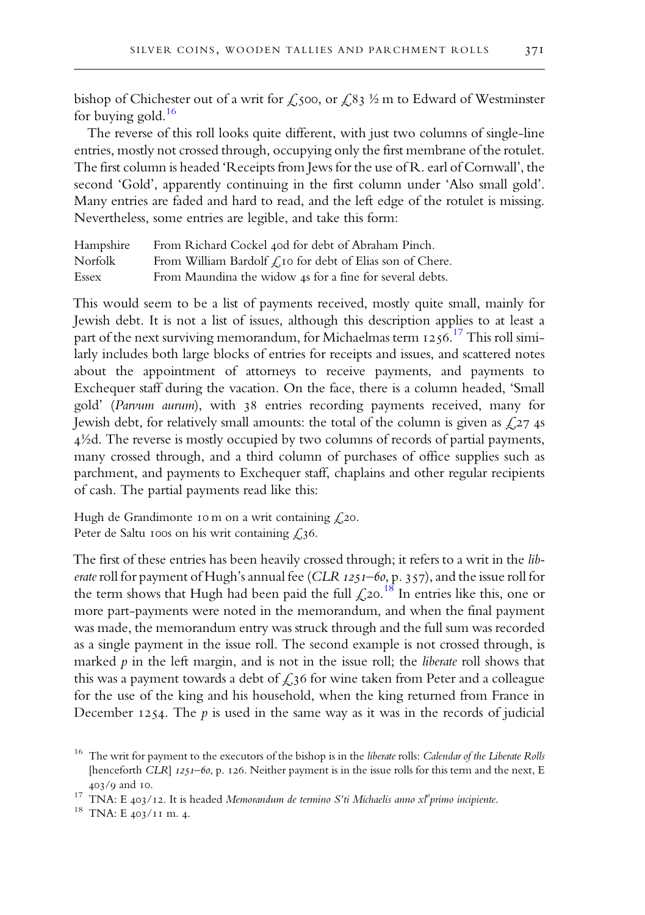bishop of Chichester out of a writ for  $\zeta$ , soo, or  $\zeta$ , 83  $\frac{1}{2}$  m to Edward of Westminster for buying gold. 16

The reverse of this roll looks quite different, with just two columns of single-line entries, mostly not crossed through, occupying only the first membrane of the rotulet. The first column is headed 'Receipts from Jews for the use of R. earl of Cornwall', the second 'Gold', apparently continuing in the first column under 'Also small gold'. Many entries are faded and hard to read, and the left edge of the rotulet is missing. Nevertheless, some entries are legible, and take this form:

| Hampshire | From Richard Cockel 40d for debt of Abraham Pinch.                    |
|-----------|-----------------------------------------------------------------------|
| Norfolk   | From William Bardolf $\mathcal{L}$ to for debt of Elias son of Chere. |
| Essex     | From Maundina the widow 4s for a fine for several debts.              |

This would seem to be a list of payments received, mostly quite small, mainly for Jewish debt. It is not a list of issues, although this description applies to at least a part of the next surviving memorandum, for Michaelmas term 1256.<sup>17</sup> This roll similarly includes both large blocks of entries for receipts and issues, and scattered notes about the appointment of attorneys to receive payments, and payments to Exchequer staff during the vacation. On the face, there is a column headed, 'Small gold' (Parvum aurum), with 38 entries recording payments received, many for Jewish debt, for relatively small amounts: the total of the column is given as  $\zeta$ , 27 4s ½d. The reverse is mostly occupied by two columns of records of partial payments, many crossed through, and a third column of purchases of office supplies such as parchment, and payments to Exchequer staff, chaplains and other regular recipients of cash. The partial payments read like this:

Hugh de Grandimonte 10 m on a writ containing  $\ell$ , 20. Peter de Saltu 100s on his writ containing  $£36$ .

The first of these entries has been heavily crossed through; it refers to a writ in the liberate roll for payment of Hugh's annual fee (CLR 1251-60, p. 357), and the issue roll for the term shows that Hugh had been paid the full  $\mathcal{L}$ 20.<sup>18</sup> In entries like this, one or more part-payments were noted in the memorandum, and when the final payment was made, the memorandum entry was struck through and the full sum was recorded as a single payment in the issue roll. The second example is not crossed through, is marked  $p$  in the left margin, and is not in the issue roll; the *liberate* roll shows that this was a payment towards a debt of  $\mathcal{L}$ 36 for wine taken from Peter and a colleague for the use of the king and his household, when the king returned from France in December 1254. The  $p$  is used in the same way as it was in the records of judicial

<sup>&</sup>lt;sup>16</sup> The writ for payment to the executors of the bishop is in the liberate rolls: Calendar of the Liberate Rolls [henceforth CLR]  $1251-60$ , p. 126. Neither payment is in the issue rolls for this term and the next, E 403/9 and 10.

<sup>&</sup>lt;sup>17</sup> TNA: E 403/12. It is headed Memorandum de termino S'ti Michaelis anno xl<sup>o</sup>primo incipiente.

 $18$  TNA: E  $403/11$  m. 4.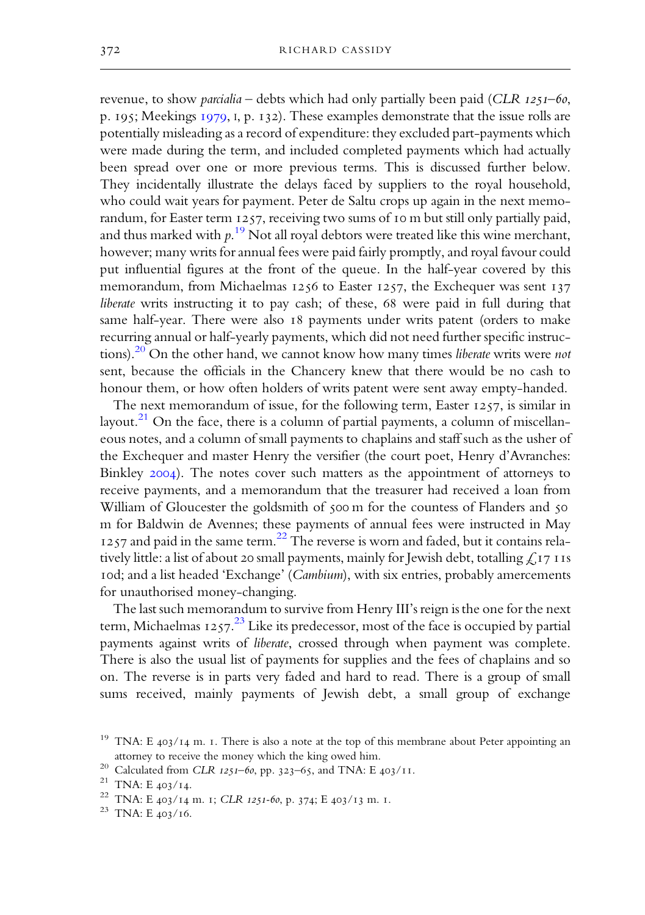revenue, to show *parcialia* – debts which had only partially been paid (CLR  $_{1251}$ –60, p. 195; Meekings  $1979$ , I, p. 132). These examples demonstrate that the issue rolls are potentially misleading as a record of expenditure: they excluded part-payments which were made during the term, and included completed payments which had actually been spread over one or more previous terms. This is discussed further below. They incidentally illustrate the delays faced by suppliers to the royal household, who could wait years for payment. Peter de Saltu crops up again in the next memorandum, for Easter term  $1257$ , receiving two sums of 10 m but still only partially paid, and thus marked with  $p.^{19}$  Not all royal debtors were treated like this wine merchant, however; many writs for annual fees were paid fairly promptly, and royal favour could put influential figures at the front of the queue. In the half-year covered by this memorandum, from Michaelmas  $1256$  to Easter  $1257$ , the Exchequer was sent  $137$ liberate writs instructing it to pay cash; of these, 68 were paid in full during that same half-year. There were also 18 payments under writs patent (orders to make recurring annual or half-yearly payments, which did not need further specific instructions). $20$  On the other hand, we cannot know how many times *liberate* writs were not sent, because the officials in the Chancery knew that there would be no cash to honour them, or how often holders of writs patent were sent away empty-handed.

The next memorandum of issue, for the following term, Easter  $1257$ , is similar in layout.<sup>21</sup> On the face, there is a column of partial payments, a column of miscellaneous notes, and a column of small payments to chaplains and staff such as the usher of the Exchequer and master Henry the versifier (the court poet, Henry d'Avranches: Binkley 2004). The notes cover such matters as the appointment of attorneys to receive payments, and a memorandum that the treasurer had received a loan from William of Gloucester the goldsmith of 500 m for the countess of Flanders and 50 m for Baldwin de Avennes; these payments of annual fees were instructed in May 1257 and paid in the same term.<sup>22</sup> The reverse is worn and faded, but it contains relatively little: a list of about 20 small payments, mainly for Jewish debt, totalling  $\mathcal{L}$  17 IIs rod; and a list headed 'Exchange' (Cambium), with six entries, probably amercements for unauthorised money-changing.

The last such memorandum to survive from Henry III's reign is the one for the next term, Michaelmas 1257. $^{23}$  Like its predecessor, most of the face is occupied by partial payments against writs of liberate, crossed through when payment was complete. There is also the usual list of payments for supplies and the fees of chaplains and so on. The reverse is in parts very faded and hard to read. There is a group of small sums received, mainly payments of Jewish debt, a small group of exchange

<sup>&</sup>lt;sup>19</sup> TNA: E 403/14 m. I. There is also a note at the top of this membrane about Peter appointing an attorney to receive the money which the king owed him.

<sup>&</sup>lt;sup>20</sup> Calculated from *CLR*  $1251-60$ , pp. 323-65, and TNA: E 403/11.

 $^{21}$  TNA: E 403/14.

<sup>&</sup>lt;sup>22</sup> TNA: E 403/14 m. 1; CLR 1251-60, p. 374; E 403/13 m. 1.

 $^{23}$  TNA: E  $403/16$ .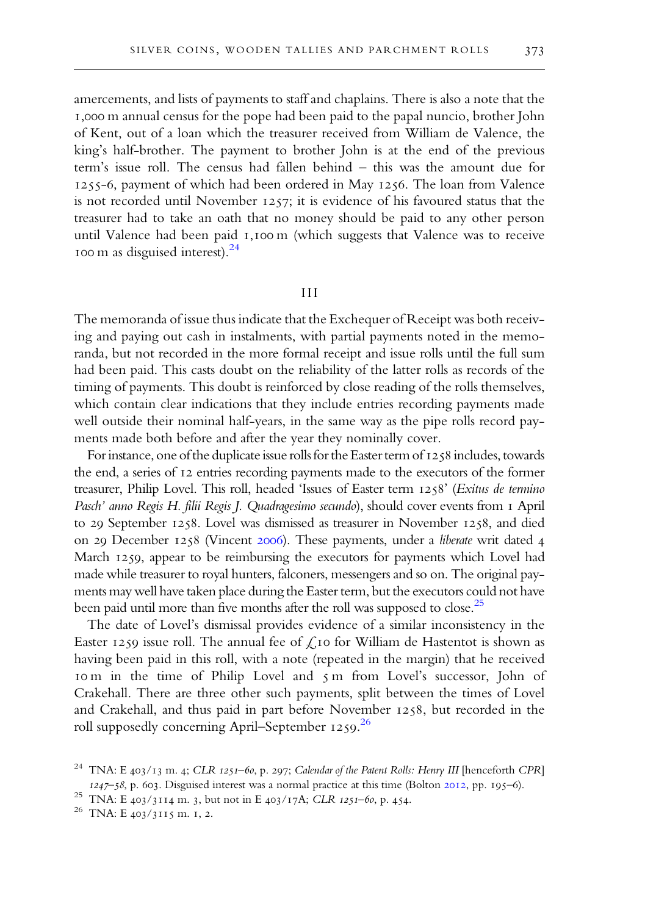amercements, and lists of payments to staff and chaplains. There is also a note that the 1,000 m annual census for the pope had been paid to the papal nuncio, brother John of Kent, out of a loan which the treasurer received from William de Valence, the king's half-brother. The payment to brother John is at the end of the previous term's issue roll. The census had fallen behind – this was the amount due for  $1255-6$ , payment of which had been ordered in May  $1256$ . The loan from Valence is not recorded until November  $1257$ ; it is evidence of his favoured status that the treasurer had to take an oath that no money should be paid to any other person until Valence had been paid 1,100 m (which suggests that Valence was to receive 100 m as disguised interest).<sup>24</sup>

#### III

The memoranda of issue thus indicate that the Exchequer of Receipt was both receiving and paying out cash in instalments, with partial payments noted in the memoranda, but not recorded in the more formal receipt and issue rolls until the full sum had been paid. This casts doubt on the reliability of the latter rolls as records of the timing of payments. This doubt is reinforced by close reading of the rolls themselves, which contain clear indications that they include entries recording payments made well outside their nominal half-years, in the same way as the pipe rolls record payments made both before and after the year they nominally cover.

For instance, one of the duplicate issue rolls for the Easter term of  $1258$  includes, towards the end, a series of 12 entries recording payments made to the executors of the former treasurer, Philip Lovel. This roll, headed 'Issues of Easter term 1258' (Exitus de termino Pasch' anno Regis H. filii Regis J. Quadragesimo secundo), should cover events from I April to 29 September 1258. Lovel was dismissed as treasurer in November 1258, and died on 29 December 1258 (Vincent 2006). These payments, under a liberate writ dated 4 March 1259, appear to be reimbursing the executors for payments which Lovel had made while treasurer to royal hunters, falconers, messengers and so on. The original payments may well have taken place during the Easter term, but the executors could not have been paid until more than five months after the roll was supposed to close.<sup>25</sup>

The date of Lovel's dismissal provides evidence of a similar inconsistency in the Easter 1259 issue roll. The annual fee of  $\zeta$  to for William de Hastentot is shown as having been paid in this roll, with a note (repeated in the margin) that he received rom in the time of Philip Lovel and 5 m from Lovel's successor, John of Crakehall. There are three other such payments, split between the times of Lovel and Crakehall, and thus paid in part before November 1258, but recorded in the roll supposedly concerning April–September 1259.<sup>26</sup>

<sup>&</sup>lt;sup>24</sup> TNA: E 403/13 m. 4; CLR 1251-60, p. 297; Calendar of the Patent Rolls: Henry III [henceforth CPR]  $1247 - 58$ , p. 603. Disguised interest was a normal practice at this time (Bolton 2012, pp. 195–6).

<sup>&</sup>lt;sup>25</sup> TNA: E  $403/3114$  m. 3, but not in E  $403/17$ A; *CLR 1251–60*, p. 454.

<sup>&</sup>lt;sup>26</sup> TNA: E 403/3115 m. 1, 2.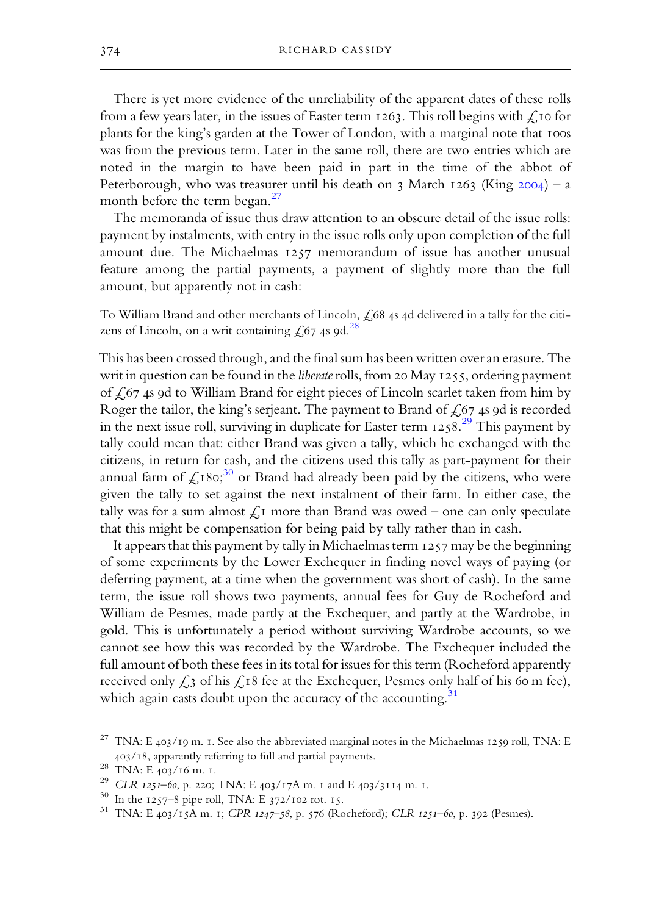There is yet more evidence of the unreliability of the apparent dates of these rolls from a few years later, in the issues of Easter term  $1263$ . This roll begins with  $\mathcal{L}$ , Io for plants for the king's garden at the Tower of London, with a marginal note that 100s was from the previous term. Later in the same roll, there are two entries which are noted in the margin to have been paid in part in the time of the abbot of Peterborough, who was treasurer until his death on  $\frac{1}{2}$  March 1263 (King 2004) – a month before the term began.<sup>27</sup>

The memoranda of issue thus draw attention to an obscure detail of the issue rolls: payment by instalments, with entry in the issue rolls only upon completion of the full amount due. The Michaelmas  $1257$  memorandum of issue has another unusual feature among the partial payments, a payment of slightly more than the full amount, but apparently not in cash:

To William Brand and other merchants of Lincoln,  $\zeta$ 68 4s 4d delivered in a tally for the citizens of Lincoln, on a writ containing  $\hbox{\large\it \pounds}$ 67 4s 9d. $^{28}$ 

This has been crossed through, and the final sum has been written over an erasure. The writ in question can be found in the *liberate* rolls, from 20 May  $1255$ , ordering payment of  $\zeta$  67 4s 9d to William Brand for eight pieces of Lincoln scarlet taken from him by Roger the tailor, the king's serjeant. The payment to Brand of  $f(67)$  4s 9d is recorded in the next issue roll, surviving in duplicate for Easter term  $1258.29$  This payment by tally could mean that: either Brand was given a tally, which he exchanged with the citizens, in return for cash, and the citizens used this tally as part-payment for their annual farm of  $\mathcal{L}$ 180; $^{30}$  or Brand had already been paid by the citizens, who were given the tally to set against the next instalment of their farm. In either case, the tally was for a sum almost  $\mathcal{L}_{I}$  more than Brand was owed – one can only speculate that this might be compensation for being paid by tally rather than in cash.

It appears that this payment by tally in Michaelmas term  $1257$  may be the beginning of some experiments by the Lower Exchequer in finding novel ways of paying (or deferring payment, at a time when the government was short of cash). In the same term, the issue roll shows two payments, annual fees for Guy de Rocheford and William de Pesmes, made partly at the Exchequer, and partly at the Wardrobe, in gold. This is unfortunately a period without surviving Wardrobe accounts, so we cannot see how this was recorded by the Wardrobe. The Exchequer included the full amount of both these fees in its total for issues for this term (Rocheford apparently received only  $\zeta_3$  of his  $\zeta_1$ 8 fee at the Exchequer, Pesmes only half of his 60 m fee), which again casts doubt upon the accuracy of the accounting.<sup>31</sup>

<sup>&</sup>lt;sup>27</sup> TNA: E 403/19 m. 1. See also the abbreviated marginal notes in the Michaelmas 1259 roll, TNA: E  $403/18$ , apparently referring to full and partial payments.

 $^{28}$  TNA: E  $403/16$  m. 1.

 $^{29}$  CLR 1251-60, p. 220; TNA: E 403/17A m. 1 and E 403/3114 m. 1.

 $30$  In the 1257–8 pipe roll, TNA: E 372/102 rot. 15.

<sup>&</sup>lt;sup>31</sup> TNA: E 403/15A m. 1; CPR 1247-58, p. 576 (Rocheford); CLR 1251-60, p. 392 (Pesmes).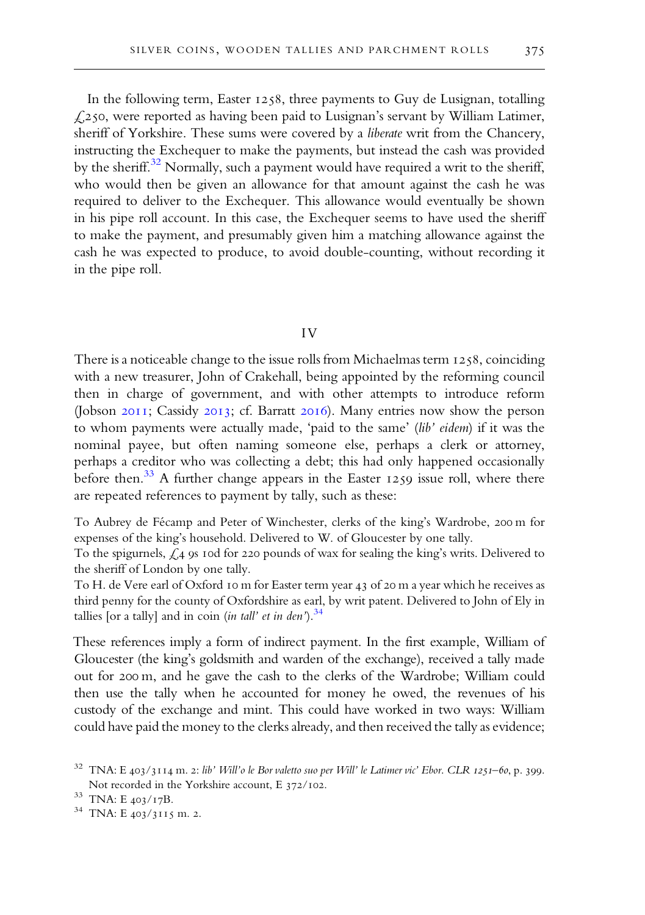In the following term, Easter  $1258$ , three payments to Guy de Lusignan, totalling  $\text{\emph{L250}}$ , were reported as having been paid to Lusignan's servant by William Latimer, sheriff of Yorkshire. These sums were covered by a liberate writ from the Chancery, instructing the Exchequer to make the payments, but instead the cash was provided by the sheriff.<sup>32</sup> Normally, such a payment would have required a writ to the sheriff, who would then be given an allowance for that amount against the cash he was required to deliver to the Exchequer. This allowance would eventually be shown in his pipe roll account. In this case, the Exchequer seems to have used the sheriff to make the payment, and presumably given him a matching allowance against the cash he was expected to produce, to avoid double-counting, without recording it in the pipe roll.

# IV

There is a noticeable change to the issue rolls from Michaelmas term  $1258$ , coinciding with a new treasurer, John of Crakehall, being appointed by the reforming council then in charge of government, and with other attempts to introduce reform (Jobson  $2011$ ; Cassidy  $2013$ ; cf. Barratt  $2016$ ). Many entries now show the person to whom payments were actually made, 'paid to the same' (lib' eidem) if it was the nominal payee, but often naming someone else, perhaps a clerk or attorney, perhaps a creditor who was collecting a debt; this had only happened occasionally before then.<sup>33</sup> A further change appears in the Easter 1259 issue roll, where there are repeated references to payment by tally, such as these:

To Aubrey de Fécamp and Peter of Winchester, clerks of the king's Wardrobe, 200 m for expenses of the king's household. Delivered to W. of Gloucester by one tally.

To the spigurnels,  $\zeta_4$  9s 10d for 220 pounds of wax for sealing the king's writs. Delivered to the sheriff of London by one tally.

To H. de Vere earl of Oxford 10 m for Easter term year 43 of 20 m a year which he receives as third penny for the county of Oxfordshire as earl, by writ patent. Delivered to John of Ely in tallies [or a tally] and in coin (*in tall' et in den*').<sup>34</sup>

These references imply a form of indirect payment. In the first example, William of Gloucester (the king's goldsmith and warden of the exchange), received a tally made out for 200 m, and he gave the cash to the clerks of the Wardrobe; William could then use the tally when he accounted for money he owed, the revenues of his custody of the exchange and mint. This could have worked in two ways: William could have paid the money to the clerks already, and then received the tally as evidence;

 $32$  TNA: E 403/3114 m. 2: lib' Will'o le Bor valetto suo per Will' le Latimer vic' Ebor. CLR 1251-60, p. 399. Not recorded in the Yorkshire account, E  $372/102$ .

 $33$  TNA: E  $403/17B$ .

<sup>&</sup>lt;sup>34</sup> TNA: E 403/3115 m. 2.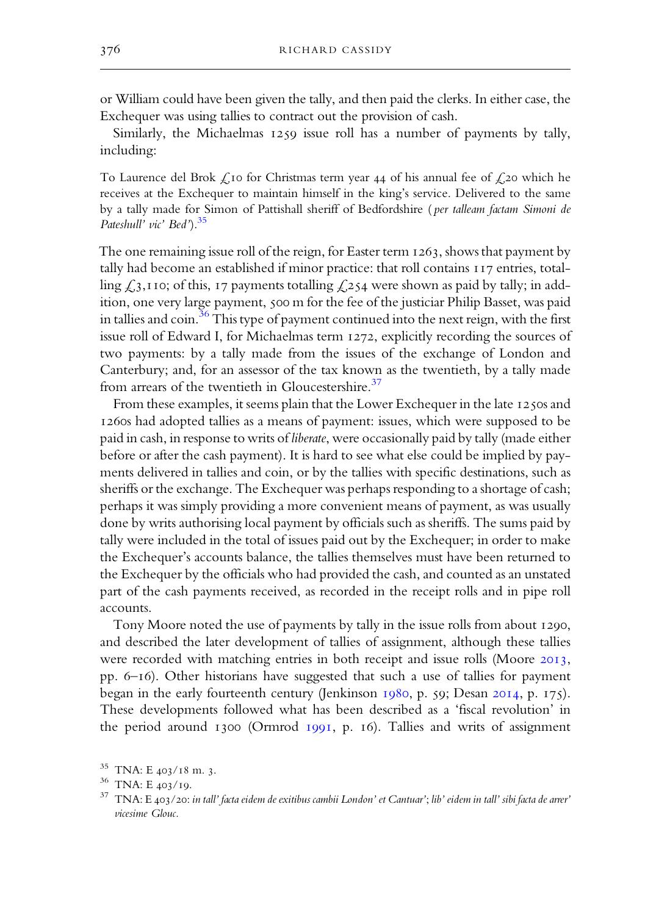or William could have been given the tally, and then paid the clerks. In either case, the Exchequer was using tallies to contract out the provision of cash.

Similarly, the Michaelmas 1259 issue roll has a number of payments by tally, including:

To Laurence del Brok  $\zeta$  for Christmas term year 44 of his annual fee of  $\zeta$  20 which he receives at the Exchequer to maintain himself in the king's service. Delivered to the same by a tally made for Simon of Pattishall sheriff of Bedfordshire ( per talleam factam Simoni de Pateshull' vic' Bed').<sup>35</sup>

The one remaining issue roll of the reign, for Easter term  $1263$ , shows that payment by tally had become an established if minor practice: that roll contains  $117$  entries, totalling  $\zeta$ ,  $\zeta$ ,  $\zeta$ ,  $\zeta$  rayments totalling  $\zeta$ ,  $\zeta$  were shown as paid by tally; in addition, one very large payment, 500 m for the fee of the justiciar Philip Basset, was paid in tallies and coin.  $36$  This type of payment continued into the next reign, with the first issue roll of Edward I, for Michaelmas term 1272, explicitly recording the sources of two payments: by a tally made from the issues of the exchange of London and Canterbury; and, for an assessor of the tax known as the twentieth, by a tally made from arrears of the twentieth in Gloucestershire.<sup>37</sup>

From these examples, it seems plain that the Lower Exchequer in the late  $1250s$  and 1260s had adopted tallies as a means of payment: issues, which were supposed to be paid in cash, in response to writs of liberate, were occasionally paid by tally (made either before or after the cash payment). It is hard to see what else could be implied by payments delivered in tallies and coin, or by the tallies with specific destinations, such as sheriffs or the exchange. The Exchequer was perhaps responding to a shortage of cash; perhaps it was simply providing a more convenient means of payment, as was usually done by writs authorising local payment by officials such as sheriffs. The sums paid by tally were included in the total of issues paid out by the Exchequer; in order to make the Exchequer's accounts balance, the tallies themselves must have been returned to the Exchequer by the officials who had provided the cash, and counted as an unstated part of the cash payments received, as recorded in the receipt rolls and in pipe roll accounts.

Tony Moore noted the use of payments by tally in the issue rolls from about 1290, and described the later development of tallies of assignment, although these tallies were recorded with matching entries in both receipt and issue rolls (Moore 2013, pp.  $6-16$ ). Other historians have suggested that such a use of tallies for payment began in the early fourteenth century (Jenkinson  $1980$ , p.  $59$ ; Desan  $2014$ , p.  $175$ ). These developments followed what has been described as a 'fiscal revolution' in the period around  $1300$  (Ormrod  $1991$ , p. 16). Tallies and writs of assignment

<sup>&</sup>lt;sup>35</sup> TNA: E 403/18 m. 3.

 $36$  TNA: E  $403/19$ .

 $37$  TNA: E 403/20: in tall' facta eidem de exitibus cambii London' et Cantuar'; lib' eidem in tall' sibi facta de arrer' vicesime Glouc.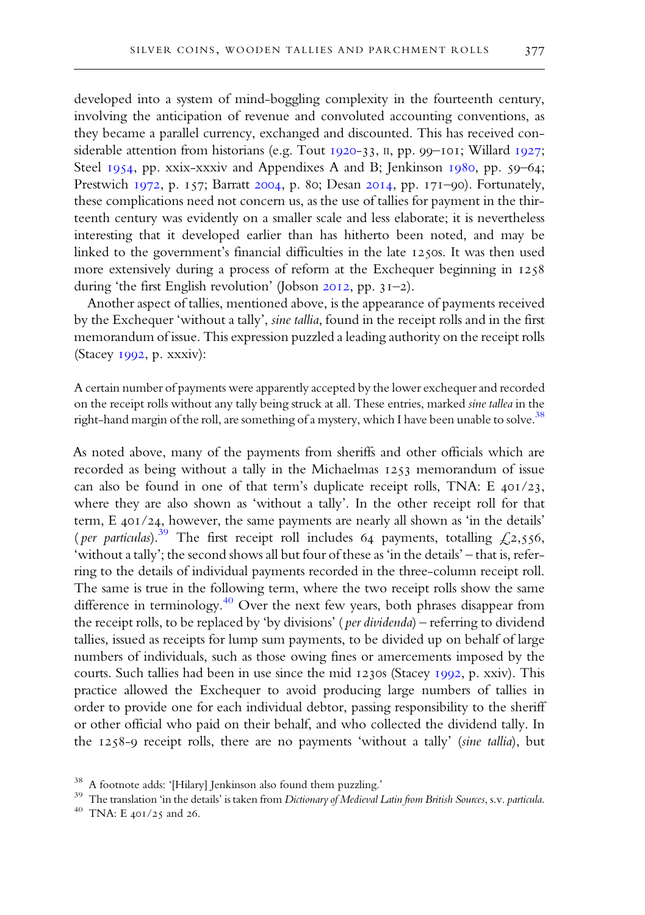developed into a system of mind-boggling complexity in the fourteenth century, involving the anticipation of revenue and convoluted accounting conventions, as they became a parallel currency, exchanged and discounted. This has received considerable attention from historians (e.g. Tout  $1920-33$ , II, pp. 99-101; Willard  $1927$ ; Steel 1954, pp. xxix-xxxiv and Appendixes A and B; Jenkinson 1980, pp. 59-64; Prestwich 1972, p. 157; Barratt 2004, p. 80; Desan 2014, pp. 171-90). Fortunately, these complications need not concern us, as the use of tallies for payment in the thirteenth century was evidently on a smaller scale and less elaborate; it is nevertheless interesting that it developed earlier than has hitherto been noted, and may be linked to the government's financial difficulties in the late 1250s. It was then used more extensively during a process of reform at the Exchequer beginning in during 'the first English revolution' (Jobson 2012, pp. 31-2).

Another aspect of tallies, mentioned above, is the appearance of payments received by the Exchequer 'without a tally', sine tallia, found in the receipt rolls and in the first memorandum of issue. This expression puzzled aleading authority on the receipt rolls (Stacey 1992, p. xxxiv):

A certain number of payments were apparently accepted by the lower exchequerand recorded on the receipt rolls without any tally being struck at all. These entries, marked sine tallea in the right-hand margin of the roll, are something of a mystery, which I have been unable to solve.  $^{38}$ 

As noted above, many of the payments from sheriffs and other officials which are recorded as being without a tally in the Michaelmas 1253 memorandum of issue can also be found in one of that term's duplicate receipt rolls, TNA: E  $401/23$ , where they are also shown as 'without a tally'. In the other receipt roll for that term,  $E_4$ 01/24, however, the same payments are nearly all shown as 'in the details' (per particulas).<sup>39</sup> The first receipt roll includes 64 payments, totalling  $\mathcal{L}2,556$ , 'without atally'; the second showsall but four of these as 'in the details' – that is, referring to the details of individual payments recorded in the three-column receipt roll. The same is true in the following term, where the two receipt rolls show the same difference in terminology.<sup>40</sup> Over the next few years, both phrases disappear from the receipt rolls, to be replaced by 'by divisions' ( per dividenda) – referring to dividend tallies, issued as receipts for lump sum payments, to be divided up on behalf of large numbers of individuals, such as those owing fines or amercements imposed by the courts. Such tallies had been in use since the mid 1230s (Stacey 1992, p. xxiv). This practice allowed the Exchequer to avoid producing large numbers of tallies in order to provide one for each individual debtor, passing responsibility to the sheriff or other official who paid on their behalf, and who collected the dividend tally. In the  $1258-9$  receipt rolls, there are no payments 'without a tally' (sine tallia), but

<sup>38</sup> A footnote adds: '[Hilary] Jenkinson also found them puzzling.'

<sup>&</sup>lt;sup>39</sup> The translation 'in the details' is taken from Dictionary of Medieval Latin from British Sources, s.v. particula.

 $40$  TNA: E 401/25 and 26.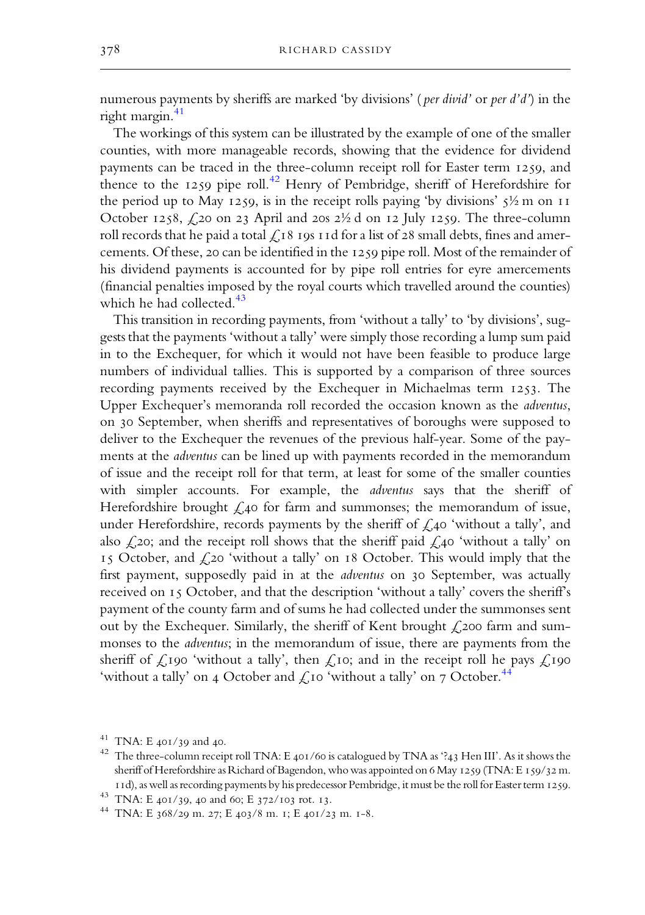numerous payments by sheriffs are marked 'by divisions' (*per divid*' or *per d'd'*) in the right margin. 41

The workings of this system can be illustrated by the example of one of the smaller counties, with more manageable records, showing that the evidence for dividend payments can be traced in the three-column receipt roll for Easter term 1259, and thence to the 1259 pipe roll.<sup>42</sup> Henry of Pembridge, sheriff of Herefordshire for the period up to May 1259, is in the receipt rolls paying 'by divisions'  $\frac{1}{2}$  m on 11 October 1258,  $\text{\emph{L}}$ 20 on 23 April and 20s 2½ d on 12 July 1259. The three-column roll records that he paid a total  $\mathcal{L}_{18}$  19s 11d for a list of 28 small debts, fines and amercements. Of these, 20 can be identified in the  $1259$  pipe roll. Most of the remainder of his dividend payments is accounted for by pipe roll entries for eyre amercements (financial penalties imposed by the royal courts which travelled around the counties) which he had collected. 43

This transition in recording payments, from 'without a tally' to 'by divisions', suggests that the payments 'without a tally' were simply those recording a lump sum paid in to the Exchequer, for which it would not have been feasible to produce large numbers of individual tallies. This is supported by a comparison of three sources recording payments received by the Exchequer in Michaelmas term 1253. The Upper Exchequer's memoranda roll recorded the occasion known as the adventus, on 30 September, when sheriffs and representatives of boroughs were supposed to deliver to the Exchequer the revenues of the previous half-year. Some of the payments at the adventus can be lined up with payments recorded in the memorandum of issue and the receipt roll for that term, at least for some of the smaller counties with simpler accounts. For example, the *adventus* says that the sheriff of Herefordshire brought  $\zeta$ ,40 for farm and summonses; the memorandum of issue, under Herefordshire, records payments by the sheriff of  $\mathcal{L}_{40}$  'without a tally', and also  $\zeta$  20; and the receipt roll shows that the sheriff paid  $\zeta$  40 'without a tally' on 15 October, and  $f$ ,20 'without a tally' on 18 October. This would imply that the first payment, supposedly paid in at the *adventus* on 30 September, was actually received on  $15$  October, and that the description 'without a tally' covers the sheriff's payment of the county farm and of sums he had collected under the summonses sent out by the Exchequer. Similarly, the sheriff of Kent brought  $\zeta$  200 farm and summonses to the adventus; in the memorandum of issue, there are payments from the sheriff of  $\zeta$ 190 'without a tally', then  $\zeta$ 10; and in the receipt roll he pays  $\zeta$ 190 'without a tally' on 4 October and  $\mathcal{L}$ 10 'without a tally' on 7 October.<sup>44</sup>

 $41$  TNA: E 401/39 and 40.

<sup>&</sup>lt;sup>42</sup> The three-column receipt roll TNA: E 401/60 is catalogued by TNA as '?43 Hen III'. As it shows the sheriff of Herefordshire as Richard of Bagendon, who was appointed on 6 May 1259 (TNA: E 159/32 m. 11d), as well as recording payments by his predecessor Pembridge, it must be the roll for Easter term 1259.

<sup>&</sup>lt;sup>43</sup> TNA: E 401/39, 40 and 60; E 372/103 rot. 13.

<sup>&</sup>lt;sup>44</sup> TNA: E 368/29 m. 27; E 403/8 m. 1; E 401/23 m. 1-8.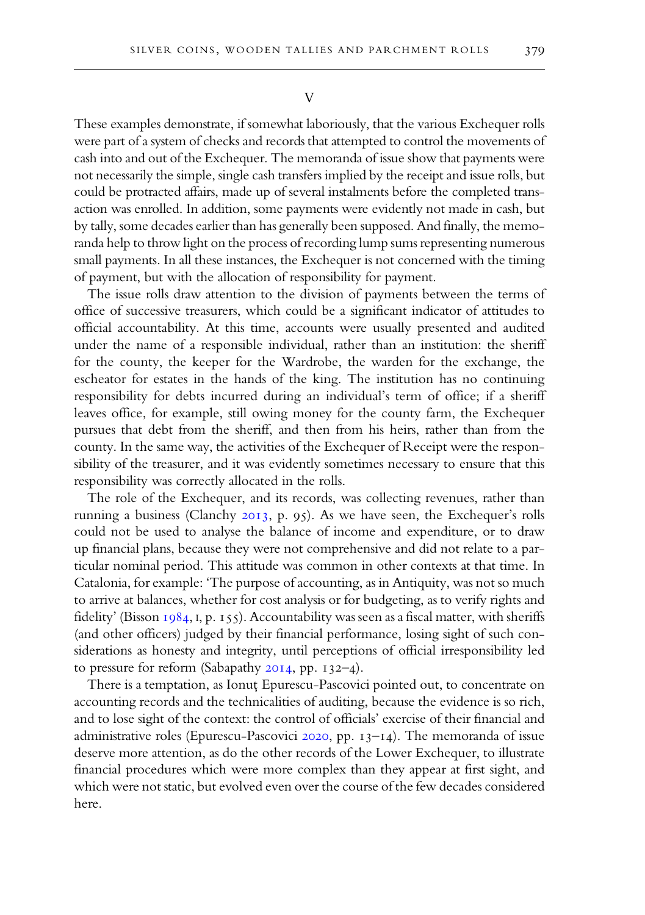V

These examples demonstrate, if somewhat laboriously, that the various Exchequer rolls were part of a system of checks and records that attempted to control the movements of cash into and out of the Exchequer. The memoranda of issue show that payments were not necessarily the simple, single cash transfers implied by the receipt and issue rolls, but could be protracted affairs, made up of several instalments before the completed transaction was enrolled. In addition, some payments were evidently not made in cash, but by tally, some decades earlier than has generally been supposed. And finally, the memoranda help to throw light on the process of recording lump sums representing numerous small payments. In all these instances, the Exchequer is not concerned with the timing of payment, but with the allocation of responsibility for payment.

The issue rolls draw attention to the division of payments between the terms of office of successive treasurers, which could be a significant indicator of attitudes to official accountability. At this time, accounts were usually presented and audited under the name of a responsible individual, rather than an institution: the sheriff for the county, the keeper for the Wardrobe, the warden for the exchange, the escheator for estates in the hands of the king. The institution has no continuing responsibility for debts incurred during an individual's term of office; if a sheriff leaves office, for example, still owing money for the county farm, the Exchequer pursues that debt from the sheriff, and then from his heirs, rather than from the county. In the same way, the activities of the Exchequer of Receipt were the responsibility of the treasurer, and it was evidently sometimes necessary to ensure that this responsibility was correctly allocated in the rolls.

The role of the Exchequer, and its records, was collecting revenues, rather than running a business (Clanchy 2013, p. 95). As we have seen, the Exchequer's rolls could not be used to analyse the balance of income and expenditure, or to draw up financial plans, because they were not comprehensive and did not relate to a particular nominal period. This attitude was common in other contexts at that time. In Catalonia, for example: 'The purpose of accounting, as in Antiquity, was not so much to arrive at balances, whether for cost analysis or for budgeting, as to verify rights and fidelity' (Bisson  $1984$ , I, p. 155). Accountability was seen as a fiscal matter, with sheriffs (and other officers) judged by their financial performance, losing sight of such considerations as honesty and integrity, until perceptions of official irresponsibility led to pressure for reform (Sabapathy  $20I4$ , pp.  $132-4$ ).

There is a temptation, as Ionut Epurescu-Pascovici pointed out, to concentrate on accounting records and the technicalities of auditing, because the evidence is so rich, and to lose sight of the context: the control of officials' exercise of their financial and administrative roles (Epurescu-Pascovici  $2020$ , pp.  $13-14$ ). The memoranda of issue deserve more attention, as do the other records of the Lower Exchequer, to illustrate financial procedures which were more complex than they appear at first sight, and which were not static, but evolved even over the course of the few decades considered here.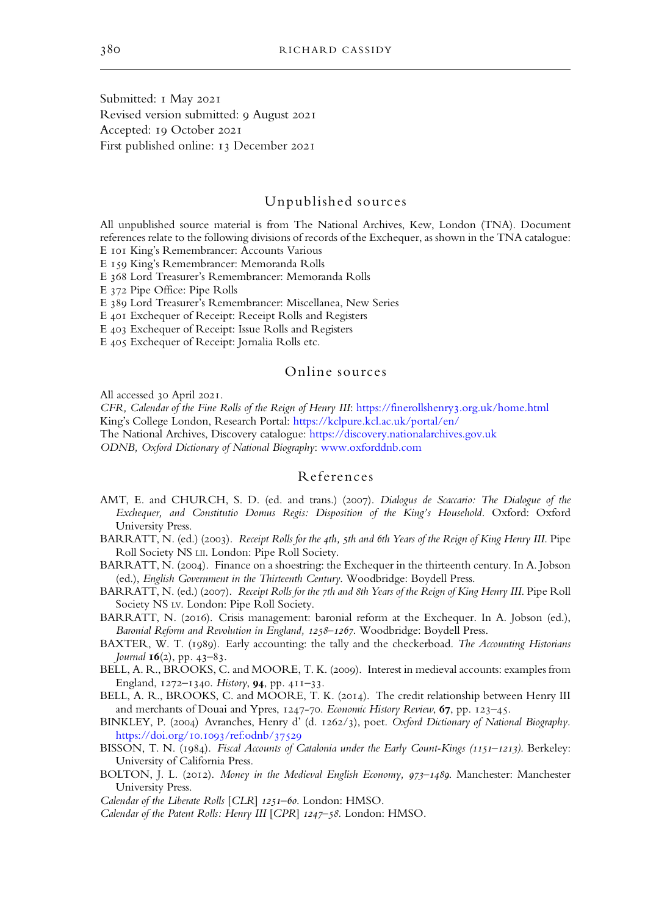<span id="page-16-0"></span>Submitted: I May 2021 Revised version submitted: 9 August 2021 Accepted: 19 October 2021 First published online: 13 December 2021

# Unpublished sources

All unpublished source material is from The National Archives, Kew, London (TNA). Document references relate to the following divisions of records of the Exchequer, as shown in the TNA catalogue:

E IOI King's Remembrancer: Accounts Various

E 159 King's Remembrancer: Memoranda Rolls

E 368 Lord Treasurer's Remembrancer: Memoranda Rolls

E 372 Pipe Office: Pipe Rolls

E 389 Lord Treasurer's Remembrancer: Miscellanea, New Series

E 401 Exchequer of Receipt: Receipt Rolls and Registers

E 403 Exchequer of Receipt: Issue Rolls and Registers

E 405 Exchequer of Receipt: Jornalia Rolls etc.

## Online sources

All accessed 30 April 2021.

CFR, Calendar of the Fine Rolls of the Reign of Henry III: [https://finerollshenry](https://finerollshenry3.org.uk/home.html).org.uk/home.html King's College London, Research Portal: <https://kclpure.kcl.ac.uk/portal/en/>

The National Archives, Discovery catalogue: <https://discovery.nationalarchives.gov.uk>

ODNB, Oxford Dictionary of National Biography: [www.oxforddnb.com](https://www.oxforddnb.com)

#### References

- AMT, E. and CHURCH, S. D. (ed. and trans.) (2007). Dialogus de Scaccario: The Dialogue of the Exchequer, and Constitutio Domus Regis: Disposition of the King's Household. Oxford: Oxford University Press.
- BARRATT, N. (ed.) (2003). Receipt Rolls for the 4th, 5th and 6th Years of the Reign of King Henry III. Pipe Roll Society NS LII. London: Pipe Roll Society.
- BARRATT, N. (2004). Finance on a shoestring: the Exchequer in the thirteenth century. In A. Jobson (ed.), English Government in the Thirteenth Century. Woodbridge: Boydell Press.
- BARRATT, N. (ed.) (2007). Receipt Rolls for the 7th and 8th Years of the Reign of King Henry III. Pipe Roll Society NS LV. London: Pipe Roll Society.
- BARRATT, N. (2016). Crisis management: baronial reform at the Exchequer. In A. Jobson (ed.), Baronial Reform and Revolution in England, 1258-1267. Woodbridge: Boydell Press.
- BAXTER, W. T. (1989). Early accounting: the tally and the checkerboad. The Accounting Historians Journal **, pp. 43-83.**
- BELL, A. R., BROOKS, C. and MOORE, T. K. (2009). Interest in medieval accounts: examples from England,  $1272 - 1340$ . History, **94**, pp. 411-33.
- BELL, A. R., BROOKS, C. and MOORE, T. K. (2014). The credit relationship between Henry III and merchants of Douai and Ypres, 1247-70. Economic History Review, 67, pp. 123-45.
- BINKLEY, P. (2004) Avranches, Henry d' (d. 1262/3), poet. Oxford Dictionary of National Biography. [https://doi.org/](https://doi.org/10.1093/ref:odnb/37529)10.1093/ref:odnb/37529
- BISSON, T. N. (1984). Fiscal Accounts of Catalonia under the Early Count-Kings (1151-1213). Berkeley: University of California Press.
- BOLTON, J. L. (2012). Money in the Medieval English Economy, 973-1489. Manchester: Manchester University Press.

Calendar of the Liberate Rolls [CLR] 1251-60. London: HMSO.

Calendar of the Patent Rolls: Henry III [CPR] 1247-58. London: HMSO.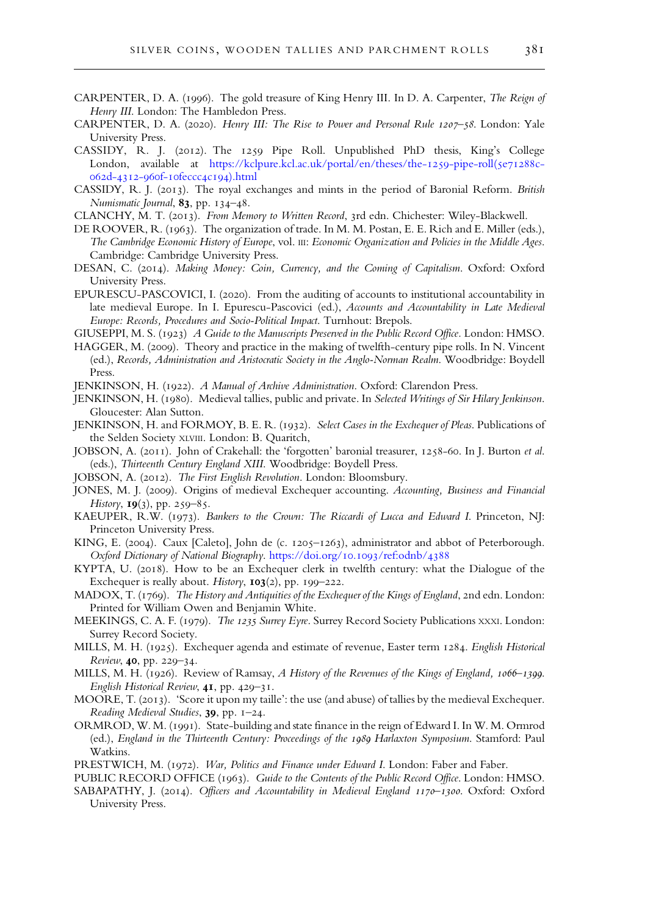- <span id="page-17-0"></span>CARPENTER, D. A. (1996). The gold treasure of King Henry III. In D. A. Carpenter, The Reign of Henry III. London: The Hambledon Press.
- CARPENTER, D. A. (2020). Henry III: The Rise to Power and Personal Rule 1207-58. London: Yale University Press.
- CASSIDY, R. J. (2012). The 1259 Pipe Roll. Unpublished PhD thesis, King's College London, available at [https://kclpure.kcl.ac.uk/portal/en/theses/the-](https://kclpure.kcl.ac.uk/portal/en/theses/the-1259-pipe-roll(5e71288c-062d-4312-960f-10feccc4c194).html)1259-pipe-roll(5e71288c-062d-4312-960f-10feccc4c194[\).html](https://kclpure.kcl.ac.uk/portal/en/theses/the-1259-pipe-roll(5e71288c-062d-4312-960f-10feccc4c194).html)
- CASSIDY, R. J. (2013). The royal exchanges and mints in the period of Baronial Reform. British Numismatic Journal, 83, pp. 134-48.
- CLANCHY, M. T. (2013). From Memory to Written Record, 3rd edn. Chichester: Wiley-Blackwell.
- DE ROOVER, R. (1963). The organization of trade. In M. M. Postan, E. E. Rich and E. Miller (eds.), The Cambridge Economic History of Europe, vol. III: Economic Organization and Policies in the Middle Ages. Cambridge: Cambridge University Press.
- DESAN, C. (2014). Making Money: Coin, Currency, and the Coming of Capitalism. Oxford: Oxford University Press.
- EPURESCU-PASCOVICI, I. (2020). From the auditing of accounts to institutional accountability in late medieval Europe. In I. Epurescu-Pascovici (ed.), Accounts and Accountability in Late Medieval Europe: Records, Procedures and Socio-Political Impact. Turnhout: Brepols.
- GIUSEPPI, M. S. (1923) A Guide to the Manuscripts Preserved in the Public Record Office. London: HMSO.
- HAGGER, M. (2009). Theory and practice in the making of twelfth-century pipe rolls. In N. Vincent (ed.), Records, Administration and Aristocratic Society in the Anglo-Norman Realm. Woodbridge: Boydell Press.
- JENKINSON, H. (1922). A Manual of Archive Administration. Oxford: Clarendon Press.
- JENKINSON, H. (1980). Medieval tallies, public and private. In Selected Writings of Sir Hilary Jenkinson. Gloucester: Alan Sutton.
- JENKINSON, H. and FORMOY, B. E. R. (1932). Select Cases in the Exchequer of Pleas. Publications of the Selden Society XLVIII. London: B. Quaritch,
- JOBSON, A. (2011). John of Crakehall: the 'forgotten' baronial treasurer, 1258-60. In J. Burton et al. (eds.), Thirteenth Century England XIII. Woodbridge: Boydell Press.
- JOBSON, A. (2012). The First English Revolution. London: Bloomsbury.
- JONES, M. J. (2009). Origins of medieval Exchequer accounting. Accounting, Business and Financial History,  $I9(3)$ , pp. 259–85.
- KAEUPER, R.W. (1973). Bankers to the Crown: The Riccardi of Lucca and Edward I. Princeton, NJ: Princeton University Press.
- KING, E. (2004). Caux [Caleto], John de (c. 1205-1263), administrator and abbot of Peterborough. Oxford Dictionary of National Biography. [https://doi.org/](https://doi.org/10.1093/ref:odnb/4388)10.1093/ref:odnb/4388
- KYPTA, U. (2018). How to be an Exchequer clerk in twelfth century: what the Dialogue of the Exchequer is really about. History,  $103(2)$ , pp. 199-222.
- MADOX, T. (1769). The History and Antiquities of the Exchequer of the Kings of England, 2nd edn. London: Printed for William Owen and Benjamin White.
- MEEKINGS, C. A. F. (1979). The 1235 Surrey Eyre. Surrey Record Society Publications XXXI. London: Surrey Record Society.
- MILLS, M. H. (1925). Exchequer agenda and estimate of revenue, Easter term 1284. English Historical Review, 40, pp. 229-34.
- MILLS, M. H. (1926). Review of Ramsay, A History of the Revenues of the Kings of England, 1066-1399. English Historical Review, 41, pp. 429-31.
- MOORE, T. (2013). 'Score it upon my taille': the use (and abuse) of tallies by the medieval Exchequer. Reading Medieval Studies,  $39$ , pp.  $1-24$ .
- ORMROD, W. M. (1991). State-building and state finance in the reign of Edward I. In W. M. Ormrod (ed.), England in the Thirteenth Century: Proceedings of the 1989 Harlaxton Symposium. Stamford: Paul Watkins.
- PRESTWICH, M. (1972). War, Politics and Finance under Edward I. London: Faber and Faber.

PUBLIC RECORD OFFICE (1963). Guide to the Contents of the Public Record Office. London: HMSO.

SABAPATHY, J. (2014). Officers and Accountability in Medieval England 1170-1300. Oxford: Oxford University Press.